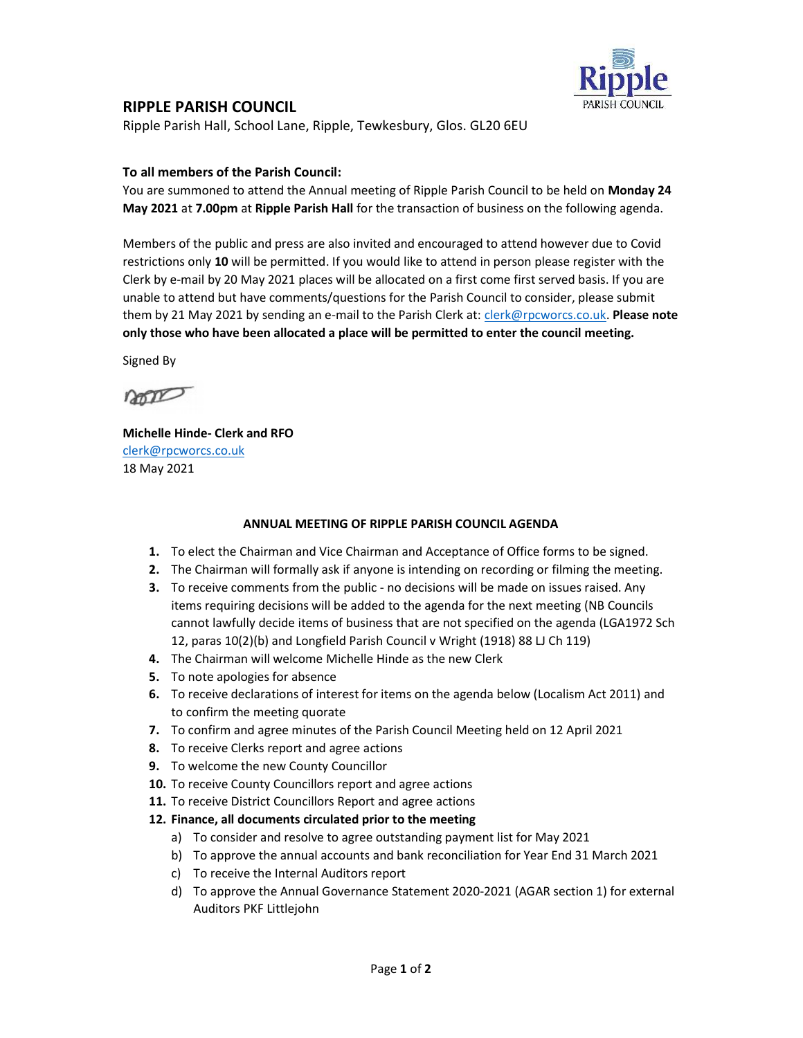

## RIPPLE PARISH COUNCIL

Ripple Parish Hall, School Lane, Ripple, Tewkesbury, Glos. GL20 6EU

### To all members of the Parish Council:

You are summoned to attend the Annual meeting of Ripple Parish Council to be held on Monday 24 May 2021 at 7.00pm at Ripple Parish Hall for the transaction of business on the following agenda.

Members of the public and press are also invited and encouraged to attend however due to Covid restrictions only 10 will be permitted. If you would like to attend in person please register with the Clerk by e-mail by 20 May 2021 places will be allocated on a first come first served basis. If you are unable to attend but have comments/questions for the Parish Council to consider, please submit them by 21 May 2021 by sending an e-mail to the Parish Clerk at: clerk@rpcworcs.co.uk. Please note only those who have been allocated a place will be permitted to enter the council meeting.

Signed By

non

Michelle Hinde- Clerk and RFO clerk@rpcworcs.co.uk 18 May 2021

#### ANNUAL MEETING OF RIPPLE PARISH COUNCIL AGENDA

- 1. To elect the Chairman and Vice Chairman and Acceptance of Office forms to be signed.
- 2. The Chairman will formally ask if anyone is intending on recording or filming the meeting.
- **3.** To receive comments from the public no decisions will be made on issues raised. Any items requiring decisions will be added to the agenda for the next meeting (NB Councils cannot lawfully decide items of business that are not specified on the agenda (LGA1972 Sch 12, paras 10(2)(b) and Longfield Parish Council v Wright (1918) 88 LJ Ch 119)
- 4. The Chairman will welcome Michelle Hinde as the new Clerk
- 5. To note apologies for absence
- 6. To receive declarations of interest for items on the agenda below (Localism Act 2011) and to confirm the meeting quorate
- 7. To confirm and agree minutes of the Parish Council Meeting held on 12 April 2021
- 8. To receive Clerks report and agree actions
- 9. To welcome the new County Councillor
- 10. To receive County Councillors report and agree actions
- 11. To receive District Councillors Report and agree actions
- 12. Finance, all documents circulated prior to the meeting
	- a) To consider and resolve to agree outstanding payment list for May 2021
	- b) To approve the annual accounts and bank reconciliation for Year End 31 March 2021
	- c) To receive the Internal Auditors report
	- d) To approve the Annual Governance Statement 2020-2021 (AGAR section 1) for external Auditors PKF Littlejohn